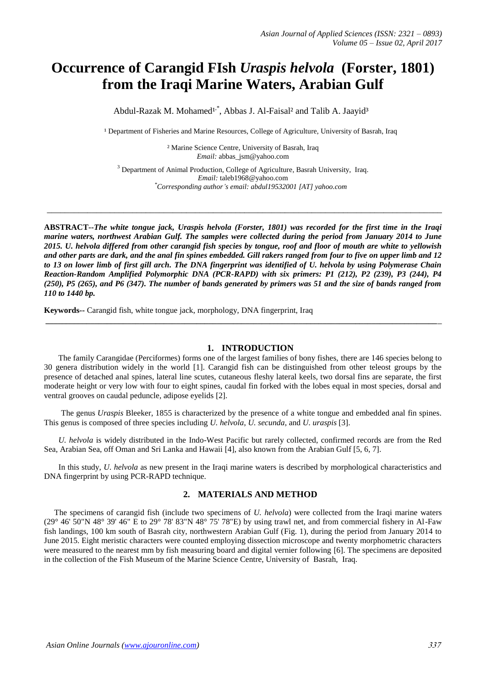# **Occurrence of Carangid FIsh** *[Uraspis](http://researcharchive.calacademy.org/research/ichthyology/catalog/fishcatget.asp?genid=2298) [helvola](http://researcharchive.calacademy.org/research/ichthyology/catalog/fishcatget.asp?spid=34406)* **(Forster, 1801) from the Iraqi Marine Waters, Arabian Gulf**

Abdul-Razak M. Mohamed<sup>1,\*</sup>, Abbas J. Al-Faisal<sup>2</sup> and Talib A. Jaayid<sup>3</sup>

<sup>1</sup> Department of Fisheries and Marine Resources, College of Agriculture, University of Basrah, Iraq

² Marine Science Centre, University of Basrah, Iraq *Email:* [abbas\\_jsm@yahoo.com](mailto:abbas_jsm@yahoo.com)

<sup>3</sup> Department of Animal Production, College of Agriculture, Basrah University, Iraq. *Email:* [taleb1968@yahoo.com](mailto:taleb1968@yahoo.com) *\*Corresponding author's email: abdul19532001 [AT] yahoo.com*

**\_\_\_\_\_\_\_\_\_\_\_\_\_\_\_\_\_\_\_\_\_\_\_\_\_\_\_\_\_\_\_\_\_\_\_\_\_\_\_\_\_\_\_\_\_\_\_\_\_\_\_\_\_\_\_\_\_\_\_\_\_\_\_\_\_\_\_\_\_\_\_\_\_\_\_\_\_\_\_\_\_\_\_\_\_\_\_\_**

**ABSTRACT--***The white tongue jack, Uraspis helvola (Forster, 1801) was recorded for the first time in the Iraqi marine waters, northwest Arabian Gulf. The samples were collected during the period from January 2014 to June 2015. [U.](http://researcharchive.calacademy.org/research/ichthyology/catalog/fishcatget.asp?genid=2298) [helvola](http://researcharchive.calacademy.org/research/ichthyology/catalog/fishcatget.asp?spid=34406) differed from other carangid fish species by tongue, roof and floor of mouth are white to yellowish and other parts are dark, and the anal fin spines embedded. Gill rakers ranged from four to five on upper limb and 12 to 13 on lower limb of first gill arch. The DNA fingerprint was identified of U. helvola by using Polymerase Chain Reaction-Random Amplified Polymorphic DNA (PCR-RAPD) with six primers: P1 (212), P2 (239), P3 (244), P4 (250), P5 (265), and P6 (347). The number of bands generated by primers was 51 and the size of bands ranged from 110 to 1440 bp.*

**Keywords--** Carangid fish, white tongue jack, morphology, DNA fingerprint, Iraq

#### **1. INTRODUCTION**

 The family Carangidae (Perciformes) forms one of the largest families of bony fishes, there are 146 species belong to 30 genera distribution widely in the world [1]. Carangid fish can be distinguished from other teleost groups by the presence of detached anal spines, lateral line scutes, cutaneous fleshy lateral keels, two dorsal fins are separate, the first moderate height or very low with four to eight spines, caudal fin forked with the lobes equal in most species, dorsal and ventral grooves on caudal peduncle, adipose eyelids [2].

**\_\_\_\_\_\_\_\_\_\_\_\_\_\_\_\_\_\_\_\_\_\_\_\_\_\_\_\_\_\_\_\_\_\_\_\_\_\_\_\_\_\_\_\_\_\_\_\_\_\_\_\_\_\_\_\_\_\_\_\_\_\_\_\_\_\_\_\_\_\_\_\_\_\_\_\_\_\_\_\_\_\_\_\_\_\_\_\_\_\_\_\_\_\_\_\_\_**

 The genus *Uraspis* Bleeker, 1855 is characterized by the presence of a white tongue and embedded anal fin spines. This genus is composed of three species including *U. helvola*, *U. secunda*, and *U. uraspis* [3].

 *U. helvola* is widely distributed in the Indo-West Pacific but rarely collected, confirmed records are from the Red Sea, Arabian Sea, off Oman and Sri Lanka and Hawaii [4], also known from the Arabian Gulf [5, 6, 7].

 In this study, *U. helvola* as new present in the Iraqi marine waters is described by morphological characteristics and DNA fingerprint by using PCR-RAPD technique.

### **2. MATERIALS AND METHOD**

 The specimens of carangid fish (include two specimens of *U. helvola*) were collected from the Iraqi marine waters (29° 46' 50"N 48° 39' 46" E to 29° 78' 83"N 48° 75' 78"E) by using trawl net, and from commercial fishery in Al-Faw fish landings, 100 km south of Basrah city, northwestern Arabian Gulf (Fig. 1), during the period from January 2014 to June 2015. Eight meristic characters were counted employing dissection microscope and twenty morphometric characters were measured to the nearest mm by fish measuring board and digital vernier following [6]. The specimens are deposited in the collection of the Fish Museum of the Marine Science Centre, University of Basrah, Iraq.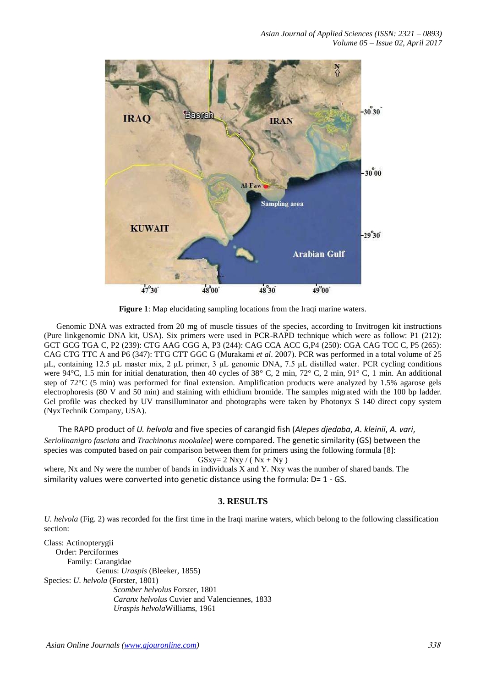

**Figure 1**: Map elucidating sampling locations from the Iraqi marine waters.

 Genomic DNA was extracted from 20 mg of muscle tissues of the species, according to Invitrogen kit instructions (Pure linkgenomic DNA kit, USA). Six primers were used in PCR-RAPD technique which were as follow: P1 (212): GCT GCG TGA C, P2 (239): CTG AAG CGG A, P3 (244): CAG CCA ACC G,P4 (250): CGA CAG TCC C, P5 (265): CAG CTG TTC A and P6 (347): TTG CTT GGC G (Murakami *et al*. 2007). PCR was performed in a total volume of 25 μL, containing 12.5 μL master mix, 2 μL primer, 3 μL genomic DNA, 7.5 μL distilled water. PCR cycling conditions were 94°C, 1.5 min for initial denaturation, then 40 cycles of 38° C, 2 min, 72° C, 2 min, 91° C, 1 min. An additional step of 72°C (5 min) was performed for final extension. Amplification products were analyzed by 1.5% agarose gels electrophoresis (80 V and 50 min) and staining with ethidium bromide. The samples migrated with the 100 bp ladder. Gel profile was checked by UV transilluminator and photographs were taken by Photonyx S 140 direct copy system (NyxTechnik Company, USA).

 The RAPD product of *U. helvola* and five species of carangid fish (*Alepes djedaba*, *A. kleinii*, *A. vari*, *[Seriolinan](http://researcharchive.calacademy.org/research/ichthyology/catalog/fishcatget.asp?genid=7799)igro [fasciata](http://researcharchive.calacademy.org/research/ichthyology/catalog/fishcatget.asp?genid=7799)* and *[Trachinotus](http://researcharchive.calacademy.org/research/ichthyology/catalog/fishcatget.asp?genid=598) [mookalee](http://researcharchive.calacademy.org/research/ichthyology/catalog/fishcatget.asp?spid=34734)*) were compared. The genetic similarity (GS) between the species was computed based on pair comparison between them for primers using the following formula [8]:  $GSxy = 2 Nxy / ( Nx + Ny )$ 

where, Nx and Ny were the number of bands in individuals X and Y. Nxy was the number of shared bands. The similarity values were converted into genetic distance using the formula:  $D=1 - GS$ .

# **3. RESULTS**

*[U.](http://researcharchive.calacademy.org/research/ichthyology/catalog/fishcatget.asp?genid=2298) [helvola](http://researcharchive.calacademy.org/research/ichthyology/catalog/fishcatget.asp?spid=34406)* (Fig. 2) was recorded for the first time in the Iraqi marine waters, which belong to the following classification section:

Class: Actinopterygii Order: Perciformes Family: Carangidae Genus: *Uraspis* (Bleeker, 1855) Species: *U. helvola* (Forster, 1801) *Scomber helvolus* Forster, 1801 *Caranx helvolus* Cuvier and Valenciennes, 1833 *Uraspis helvola*Williams, 1961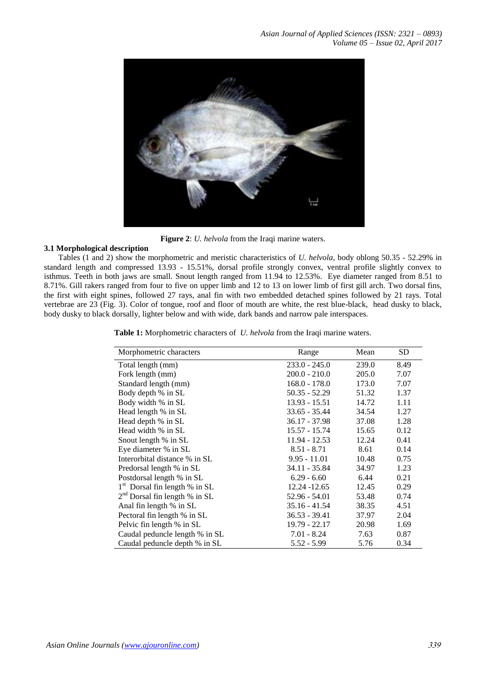

**Figure 2**: *[U.](http://researcharchive.calacademy.org/research/ichthyology/catalog/fishcatget.asp?genid=2298) [helvola](http://researcharchive.calacademy.org/research/ichthyology/catalog/fishcatget.asp?spid=34406)* from the Iraqi marine waters.

### **3.1 Morphological description**

 Tables (1 and 2) show the morphometric and meristic characteristics of *[U.](http://researcharchive.calacademy.org/research/ichthyology/catalog/fishcatget.asp?genid=2298) [helvola](http://researcharchive.calacademy.org/research/ichthyology/catalog/fishcatget.asp?spid=34406)*, body oblong 50.35 - 52.29% in standard length and compressed 13.93 - 15.51%, dorsal profile strongly convex, ventral profile slightly convex to isthmus. Teeth in both jaws are small. Snout length ranged from 11.94 to 12.53%. Eye diameter ranged from 8.51 to 8.71%. Gill rakers ranged from four to five on upper limb and 12 to 13 on lower limb of first gill arch. Two dorsal fins, the first with eight spines, followed 27 rays, anal fin with two embedded detached spines followed by 21 rays. Total vertebrae are 23 (Fig. 3). Color of tongue, roof and floor of mouth are white, the rest blue-black, head dusky to black, body dusky to black dorsally, lighter below and with wide, dark bands and narrow pale interspaces.

**Table 1:** Morphometric characters of *[U.](http://researcharchive.calacademy.org/research/ichthyology/catalog/fishcatget.asp?genid=2298) [helvola](http://researcharchive.calacademy.org/research/ichthyology/catalog/fishcatget.asp?spid=34406)* from the Iraqi marine waters.

| Morphometric characters         | Range           | Mean  | <b>SD</b> |
|---------------------------------|-----------------|-------|-----------|
| Total length (mm)               | $233.0 - 245.0$ | 239.0 | 8.49      |
| Fork length (mm)                | $200.0 - 210.0$ | 205.0 | 7.07      |
| Standard length (mm)            | $168.0 - 178.0$ | 173.0 | 7.07      |
| Body depth % in SL              | $50.35 - 52.29$ | 51.32 | 1.37      |
| Body width % in SL              | $13.93 - 15.51$ | 14.72 | 1.11      |
| Head length % in SL             | $33.65 - 35.44$ | 34.54 | 1.27      |
| Head depth % in SL              | $36.17 - 37.98$ | 37.08 | 1.28      |
| Head width % in SL              | 15.57 - 15.74   | 15.65 | 0.12      |
| Snout length % in SL            | $11.94 - 12.53$ | 12.24 | 0.41      |
| Eye diameter % in SL            | $8.51 - 8.71$   | 8.61  | 0.14      |
| Interorbital distance % in SL   | $9.95 - 11.01$  | 10.48 | 0.75      |
| Predorsal length % in SL        | $34.11 - 35.84$ | 34.97 | 1.23      |
| Postdorsal length % in SL       | $6.29 - 6.60$   | 6.44  | 0.21      |
| $1st$ Dorsal fin length % in SL | 12.24 - 12.65   | 12.45 | 0.29      |
| $2nd$ Dorsal fin length % in SL | 52.96 - 54.01   | 53.48 | 0.74      |
| Anal fin length % in SL         | $35.16 - 41.54$ | 38.35 | 4.51      |
| Pectoral fin length % in SL     | $36.53 - 39.41$ | 37.97 | 2.04      |
| Pelvic fin length % in SL       | $19.79 - 22.17$ | 20.98 | 1.69      |
| Caudal peduncle length % in SL  | $7.01 - 8.24$   | 7.63  | 0.87      |
| Caudal peduncle depth % in SL   | $5.52 - 5.99$   | 5.76  | 0.34      |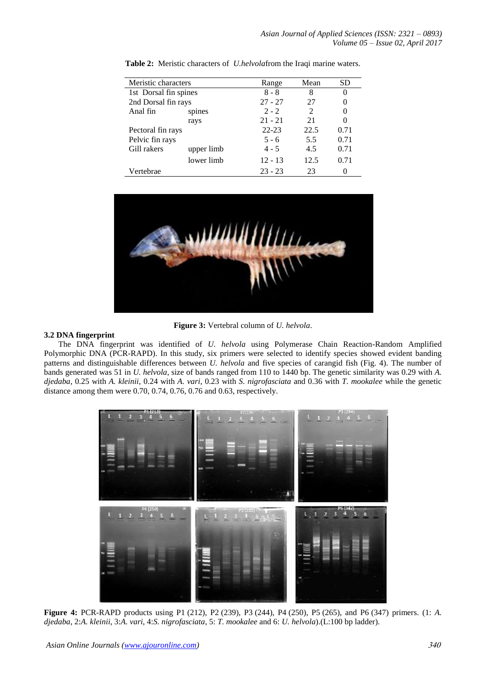| Meristic characters   |            | Range     | Mean | <b>SD</b> |
|-----------------------|------------|-----------|------|-----------|
| 1st Dorsal fin spines |            | $8 - 8$   | 8    |           |
| 2nd Dorsal fin rays   |            | $27 - 27$ | 27   |           |
| Anal fin              | spines     | $2 - 2$   | 2    |           |
|                       | rays       | $21 - 21$ | 21   | $\theta$  |
| Pectoral fin rays     |            | $22 - 23$ | 22.5 | 0.71      |
| Pelvic fin rays       |            | $5 - 6$   | 5.5  | 0.71      |
| Gill rakers           | upper limb | $4 - 5$   | 4.5  | 0.71      |
|                       | lower limb | $12 - 13$ | 12.5 | 0.71      |
| Vertebrae             |            | $23 - 23$ | 23   |           |

**Table 2:** Meristic characters of *[U.helvola](http://researcharchive.calacademy.org/research/ichthyology/catalog/fishcatget.asp?genid=2298)*from the Iraqi marine waters.



**Figure 3:** Vertebral column of *[U.](http://researcharchive.calacademy.org/research/ichthyology/catalog/fishcatget.asp?genid=2298) [helvola](http://researcharchive.calacademy.org/research/ichthyology/catalog/fishcatget.asp?spid=34406)*.

# **3.2 DNA fingerprint**

 The DNA fingerprint was identified of *[U.](http://researcharchive.calacademy.org/research/ichthyology/catalog/fishcatget.asp?genid=2298) [helvola](http://researcharchive.calacademy.org/research/ichthyology/catalog/fishcatget.asp?spid=34406)* using Polymerase Chain Reaction-Random Amplified Polymorphic DNA (PCR-RAPD). In this study, six primers were selected to identify species showed evident banding patterns and distinguishable differences between *[U.](http://researcharchive.calacademy.org/research/ichthyology/catalog/fishcatget.asp?genid=2298) [helvola](http://researcharchive.calacademy.org/research/ichthyology/catalog/fishcatget.asp?spid=34406)* and five species of carangid fish (Fig. 4). The number of bands generated was 51 in *[U.](http://researcharchive.calacademy.org/research/ichthyology/catalog/fishcatget.asp?genid=2298) [helvola](http://researcharchive.calacademy.org/research/ichthyology/catalog/fishcatget.asp?spid=34406)*, size of bands ranged from 110 to 1440 bp. The genetic similarity was 0.29 with *A. djedaba*, 0.25 with *A. kleinii*, 0.24 with *A. vari*, 0.23 with *[S.](http://researcharchive.calacademy.org/research/ichthyology/catalog/fishcatget.asp?genid=7799) [nigrofasciata](http://researcharchive.calacademy.org/research/ichthyology/catalog/fishcatget.asp?spid=34988)* and 0.36 with *[T.](http://researcharchive.calacademy.org/research/ichthyology/catalog/fishcatget.asp?genid=598) [mookalee](http://researcharchive.calacademy.org/research/ichthyology/catalog/fishcatget.asp?spid=34734)* while the genetic distance among them were 0.70, 0.74, 0.76, 0.76 and 0.63, respectively.



**Figure 4:** PCR-RAPD products using P1 (212), P2 (239), P3 (244), P4 (250), P5 (265), and P6 (347) primers. (1: *A. djedaba*, 2:*A. kleinii*, 3:*A. vari*, 4:*S. nigrofasciata*, 5: *T. mookalee* and 6: *U. helvola*).(L:100 bp ladder).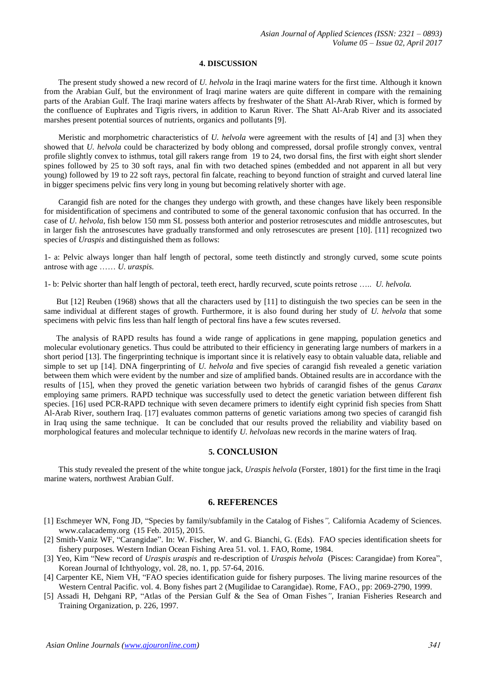#### **4. DISCUSSION**

 The present study showed a new record of *U. helvola* in the Iraqi marine waters for the first time. Although it known from the Arabian Gulf, but the environment of Iraqi marine waters are quite different in compare with the remaining parts of the Arabian Gulf. The Iraqi marine waters affects by freshwater of the Shatt Al-Arab River, which is formed by the confluence of Euphrates and Tigris rivers, in addition to Karun River. The Shatt Al-Arab River and its associated marshes present potential sources of nutrients, organics and pollutants [9].

 Meristic and morphometric characteristics of *U. helvola* were agreement with the results of [4] and [3] when they showed that *U. helvola* could be characterized by body oblong and compressed, dorsal profile strongly convex, ventral profile slightly convex to isthmus, total gill rakers range from 19 to 24, two dorsal fins, the first with eight short slender spines followed by 25 to 30 soft rays, anal fin with two detached spines (embedded and not apparent in all but very young) followed by 19 to 22 soft rays, pectoral fin falcate, reaching to beyond function of straight and curved lateral line in bigger specimens pelvic fins very long in young but becoming relatively shorter with age.

 Carangid fish are noted for the changes they undergo with growth, and these changes have likely been responsible for misidentification of specimens and contributed to some of the general taxonomic confusion that has occurred. In the case of *U. helvola*, fish below 150 mm SL possess both anterior and posterior retrosescutes and middle antrosescutes, but in larger fish the antrosescutes have gradually transformed and only retrosescutes are present [10]. [11] recognized two species of *Uraspis* and distinguished them as follows:

1- a: Pelvic always longer than half length of pectoral, some teeth distinctly and strongly curved, some scute points antrose with age …… *U. uraspis.*

1- b: Pelvic shorter than half length of pectoral, teeth erect, hardly recurved, scute points retrose ….. *U. helvola.*

 But [12] Reuben (1968) shows that all the characters used by [11] to distinguish the two species can be seen in the same individual at different stages of growth. Furthermore, it is also found during her study of *U. helvola* that some specimens with pelvic fins less than half length of pectoral fins have a few scutes reversed.

 The analysis of RAPD results has found a wide range of applications in gene mapping, population genetics and molecular evolutionary genetics. Thus could be attributed to their efficiency in generating large numbers of markers in a short period [13]. The fingerprinting technique is important since it is relatively easy to obtain valuable data, reliable and simple to set up [14]. DNA fingerprinting of *U. helvola* and five species of carangid fish revealed a genetic variation between them which were evident by the number and size of amplified bands. Obtained results are in accordance with the results of [15], when they proved the genetic variation between two hybrids of carangid fishes of the genus *Caranx* employing same primers. RAPD technique was successfully used to detect the genetic variation between different fish species. [16] used PCR-RAPD technique with seven decamere primers to identify eight cyprinid fish species from Shatt Al-Arab River, southern Iraq. [17] evaluates common patterns of genetic variations among two species of carangid fish in Iraq using the same technique. It can be concluded that our results proved the reliability and viability based on morphological features and molecular technique to identify *U. helvola*as new records in the marine waters of Iraq.

#### **5. CONCLUSION**

 This study revealed the present of the white tongue jack*, Uraspis helvola* (Forster, 1801) for the first time in the Iraqi marine waters, northwest Arabian Gulf.

#### **6. REFERENCES**

- [1] Eschmeyer WN, Fong JD, ["Species by family/subfamily in the Catalog of Fishes](http://researcharchive.calacademy.org/research/ichthyology/catalog/SpeciesByFamily.asp)*",* California Academy of Sciences. www.calacademy.org (15 Feb. 2015), 2015.
- [2] Smith-Vaniz WF, "Carangidae". In: W. Fischer, W. and G. Bianchi, G. (Eds). FAO species identification sheets for fishery purposes*.* Western Indian Ocean Fishing Area 51. vol. 1. FAO, Rome, 1984.
- [3] Yeo, Kim "New record of *Uraspis uraspis* and re-description of *Uraspis helvola* (Pisces: Carangidae) from Korea", Korean Journal of Ichthyology, vol. 28, no. 1, pp. 57-64, 2016.
- [4] Carpenter KE, Niem VH, "FAO species identification guide for fishery purposes*.* The living marine resources of the Western Central Pacific. vol. 4. Bony fishes part 2 (Mugilidae to Carangidae). Rome, FAO., pp: 2069-2790, 1999.
- [5] Assadi H, Dehgani RP, "Atlas of the Persian Gulf & the Sea of Oman Fishes*"*, Iranian Fisheries Research and Training Organization, p. 226, 1997.